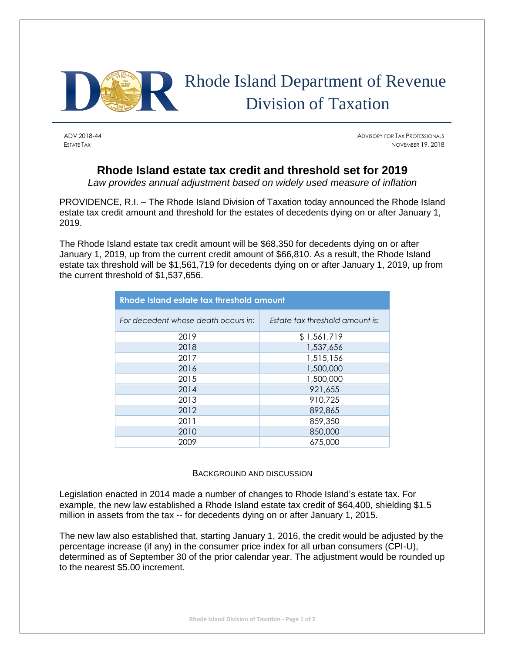

## Rhode Island Department of Revenue Division of Taxation

ADV 2018-44 ADVISORY FOR TAX PROFESSIONALS ESTATE TAX NOVEMBER 19, 2018

## **Rhode Island estate tax credit and threshold set for 2019**

*Law provides annual adjustment based on widely used measure of inflation*

PROVIDENCE, R.I. – The Rhode Island Division of Taxation today announced the Rhode Island estate tax credit amount and threshold for the estates of decedents dying on or after January 1, 2019.

The Rhode Island estate tax credit amount will be \$68,350 for decedents dying on or after January 1, 2019, up from the current credit amount of \$66,810. As a result, the Rhode Island estate tax threshold will be \$1,561,719 for decedents dying on or after January 1, 2019, up from the current threshold of \$1,537,656.

| Rhode Island estate tax threshold amount |                                 |
|------------------------------------------|---------------------------------|
| For decedent whose death occurs in:      | Estate tax threshold amount is: |
| 2019                                     | \$1,561,719                     |
| 2018                                     | 1,537,656                       |
| 2017                                     | 1,515,156                       |
| 2016                                     | 1,500,000                       |
| 2015                                     | 1,500,000                       |
| 2014                                     | 921,655                         |
| 2013                                     | 910,725                         |
| 2012                                     | 892,865                         |
| 2011                                     | 859,350                         |
| 2010                                     | 850,000                         |
| 2009                                     | 675,000                         |

## BACKGROUND AND DISCUSSION

Legislation enacted in 2014 made a number of changes to Rhode Island's estate tax. For example, the new law established a Rhode Island estate tax credit of \$64,400, shielding \$1.5 million in assets from the tax -- for decedents dying on or after January 1, 2015.

The new law also established that, starting January 1, 2016, the credit would be adjusted by the percentage increase (if any) in the consumer price index for all urban consumers (CPI-U), determined as of September 30 of the prior calendar year. The adjustment would be rounded up to the nearest \$5.00 increment.